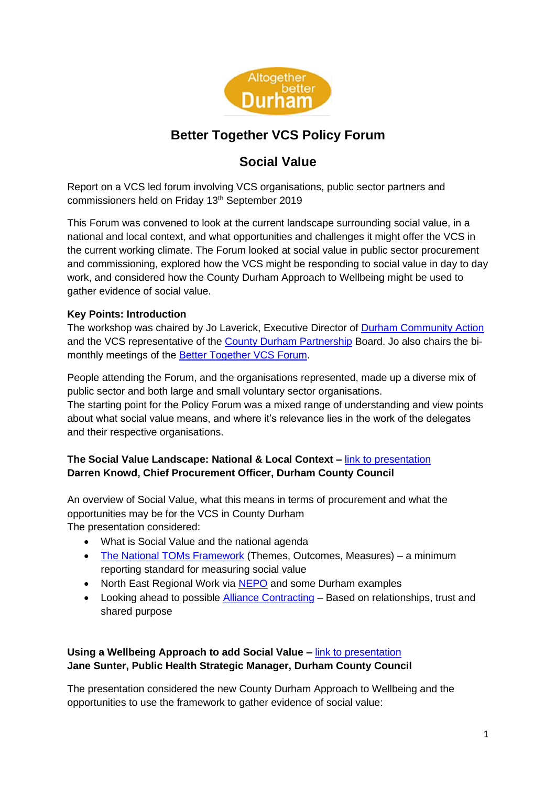

# **Better Together VCS Policy Forum**

## **Social Value**

Report on a VCS led forum involving VCS organisations, public sector partners and commissioners held on Friday 13<sup>th</sup> September 2019

This Forum was convened to look at the current landscape surrounding social value, in a national and local context, and what opportunities and challenges it might offer the VCS in the current working climate. The Forum looked at social value in public sector procurement and commissioning, explored how the VCS might be responding to social value in day to day work, and considered how the County Durham Approach to Wellbeing might be used to gather evidence of social value.

## **Key Points: Introduction**

The workshop was chaired by Jo Laverick, Executive Director of [Durham Community Action](http://www.durhamcommunityaction.org.uk/) and the VCS representative of the [County Durham Partnership](http://www.countydurhampartnership.co.uk/) Board. Jo also chairs the bi-monthly meetings of the [Better Together VCS Forum.](http://www.durhamcommunityaction.org.uk/better-together-vcs-forum.html)

People attending the Forum, and the organisations represented, made up a diverse mix of public sector and both large and small voluntary sector organisations.

The starting point for the Policy Forum was a mixed range of understanding and view points about what social value means, and where it's relevance lies in the work of the delegates and their respective organisations.

## **The Social Value Landscape: National & Local Context –** [link to presentation](https://www.durhamcommunityaction.org.uk/public/dca/www/uploads/files/The%20Social%20Value%20Landscape(1).pptx) **Darren Knowd, Chief Procurement Officer, Durham County Council**

An overview of Social Value, what this means in terms of procurement and what the opportunities may be for the VCS in County Durham The presentation considered:

- What is Social Value and the national agenda
- [The National TOMs Framework](https://socialvalueportal.com/national-toms/) (Themes, Outcomes, Measures) a minimum reporting standard for measuring social value
- North East Regional Work via [NEPO](https://www.nepo.org/) and some Durham examples
- Looking ahead to possible [Alliance Contracting](https://www.durhamcommunityaction.org.uk/public/dca/www/uploads/files/Alliance%20Contracting.pptx) Based on relationships, trust and shared purpose

## **Using a Wellbeing Approach to add Social Value –** [link to presentation](https://www.durhamcommunityaction.org.uk/public/dca/www/uploads/files/Wellbeing%20Approach%20-%20Social%20Value%20Policy%20Forum.ppt) **Jane Sunter, Public Health Strategic Manager, Durham County Council**

The presentation considered the new County Durham Approach to Wellbeing and the opportunities to use the framework to gather evidence of social value: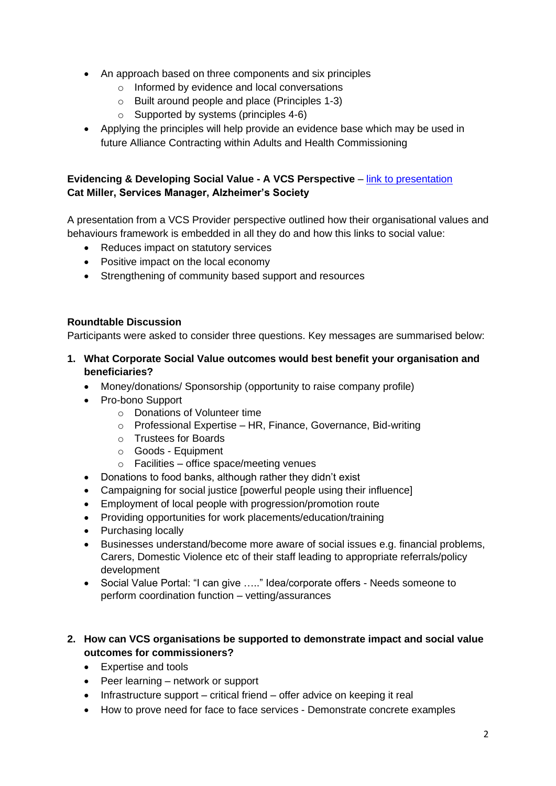- An approach based on three components and six principles
	- o Informed by evidence and local conversations
	- o Built around people and place (Principles 1-3)
	- o Supported by systems (principles 4-6)
- Applying the principles will help provide an evidence base which may be used in future Alliance Contracting within Adults and Health Commissioning

#### **Evidencing & Developing Social Value - A VCS Perspective – [link to presentation](https://www.durhamcommunityaction.org.uk/public/dca/www/uploads/files/Evidencing%20&%20Developing%20Social%20Value%20-%20A%20VCS%20Perspective.pptx) Cat Miller, Services Manager, Alzheimer's Society**

A presentation from a VCS Provider perspective outlined how their organisational values and behaviours framework is embedded in all they do and how this links to social value:

- Reduces impact on statutory services
- Positive impact on the local economy
- Strengthening of community based support and resources

#### **Roundtable Discussion**

Participants were asked to consider three questions. Key messages are summarised below:

#### **1. What Corporate Social Value outcomes would best benefit your organisation and beneficiaries?**

- Money/donations/ Sponsorship (opportunity to raise company profile)
- Pro-bono Support
	- o Donations of Volunteer time
	- o Professional Expertise HR, Finance, Governance, Bid-writing
	- o Trustees for Boards
	- o Goods Equipment
	- o Facilities office space/meeting venues
- Donations to food banks, although rather they didn't exist
- Campaigning for social justice [powerful people using their influence]
- Employment of local people with progression/promotion route
- Providing opportunities for work placements/education/training
- Purchasing locally
- Businesses understand/become more aware of social issues e.g. financial problems, Carers, Domestic Violence etc of their staff leading to appropriate referrals/policy development
- Social Value Portal: "I can give ....." Idea/corporate offers Needs someone to perform coordination function – vetting/assurances

#### **2. How can VCS organisations be supported to demonstrate impact and social value outcomes for commissioners?**

- Expertise and tools
- Peer learning network or support
- Infrastructure support critical friend offer advice on keeping it real
- How to prove need for face to face services Demonstrate concrete examples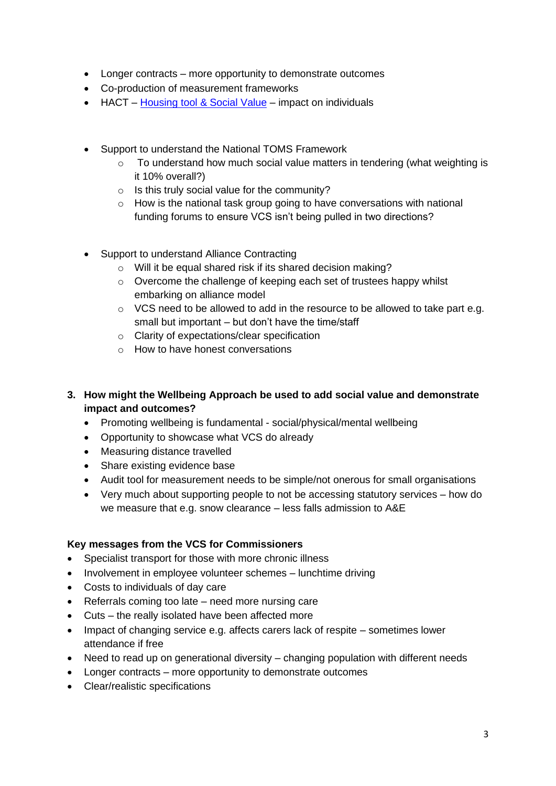- Longer contracts more opportunity to demonstrate outcomes
- Co-production of measurement frameworks
- HACT [Housing tool & Social Value](https://www.hact.org.uk/publications-and-tools) impact on individuals
- Support to understand the National TOMS Framework
	- $\circ$  To understand how much social value matters in tendering (what weighting is it 10% overall?)
	- $\circ$  Is this truly social value for the community?
	- $\circ$  How is the national task group going to have conversations with national funding forums to ensure VCS isn't being pulled in two directions?
- Support to understand Alliance Contracting
	- o Will it be equal shared risk if its shared decision making?
	- o Overcome the challenge of keeping each set of trustees happy whilst embarking on alliance model
	- $\circ$  VCS need to be allowed to add in the resource to be allowed to take part e.g. small but important – but don't have the time/staff
	- o Clarity of expectations/clear specification
	- o How to have honest conversations
- **3. How might the Wellbeing Approach be used to add social value and demonstrate impact and outcomes?**
	- Promoting wellbeing is fundamental social/physical/mental wellbeing
	- Opportunity to showcase what VCS do already
	- Measuring distance travelled
	- Share existing evidence base
	- Audit tool for measurement needs to be simple/not onerous for small organisations
	- Very much about supporting people to not be accessing statutory services how do we measure that e.g. snow clearance – less falls admission to A&E

#### **Key messages from the VCS for Commissioners**

- Specialist transport for those with more chronic illness
- Involvement in employee volunteer schemes lunchtime driving
- Costs to individuals of day care
- Referrals coming too late need more nursing care
- Cuts the really isolated have been affected more
- Impact of changing service e.g. affects carers lack of respite sometimes lower attendance if free
- Need to read up on generational diversity changing population with different needs
- Longer contracts more opportunity to demonstrate outcomes
- Clear/realistic specifications